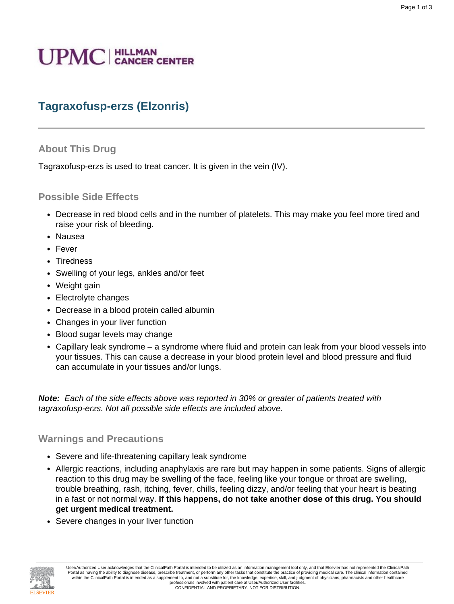# **UPMC** | HILLMAN

# **Tagraxofusp-erzs (Elzonris)**

### **About This Drug**

Tagraxofusp-erzs is used to treat cancer. It is given in the vein (IV).

#### **Possible Side Effects**

- Decrease in red blood cells and in the number of platelets. This may make you feel more tired and raise your risk of bleeding.
- Nausea
- Fever
- Tiredness
- Swelling of your legs, ankles and/or feet
- Weight gain
- Electrolyte changes
- Decrease in a blood protein called albumin
- Changes in your liver function
- Blood sugar levels may change
- Capillary leak syndrome a syndrome where fluid and protein can leak from your blood vessels into your tissues. This can cause a decrease in your blood protein level and blood pressure and fluid can accumulate in your tissues and/or lungs.

**Note:** Each of the side effects above was reported in 30% or greater of patients treated with tagraxofusp-erzs. Not all possible side effects are included above.

#### **Warnings and Precautions**

- Severe and life-threatening capillary leak syndrome
- Allergic reactions, including anaphylaxis are rare but may happen in some patients. Signs of allergic reaction to this drug may be swelling of the face, feeling like your tongue or throat are swelling, trouble breathing, rash, itching, fever, chills, feeling dizzy, and/or feeling that your heart is beating in a fast or not normal way. **If this happens, do not take another dose of this drug. You should get urgent medical treatment.**
- Severe changes in your liver function

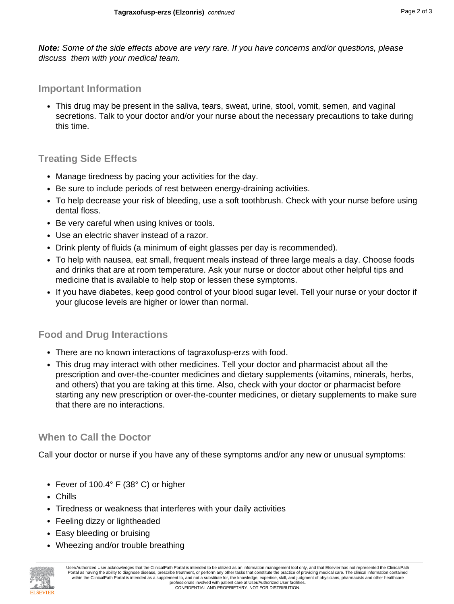**Note:** Some of the side effects above are very rare. If you have concerns and/or questions, please discuss them with your medical team.

## **Important Information**

• This drug may be present in the saliva, tears, sweat, urine, stool, vomit, semen, and vaginal secretions. Talk to your doctor and/or your nurse about the necessary precautions to take during this time.

## **Treating Side Effects**

- Manage tiredness by pacing your activities for the day.
- Be sure to include periods of rest between energy-draining activities.
- To help decrease your risk of bleeding, use a soft toothbrush. Check with your nurse before using dental floss.
- Be very careful when using knives or tools.
- Use an electric shaver instead of a razor.
- Drink plenty of fluids (a minimum of eight glasses per day is recommended).
- To help with nausea, eat small, frequent meals instead of three large meals a day. Choose foods and drinks that are at room temperature. Ask your nurse or doctor about other helpful tips and medicine that is available to help stop or lessen these symptoms.
- If you have diabetes, keep good control of your blood sugar level. Tell your nurse or your doctor if your glucose levels are higher or lower than normal.

# **Food and Drug Interactions**

- There are no known interactions of tagraxofusp-erzs with food.
- This drug may interact with other medicines. Tell your doctor and pharmacist about all the prescription and over-the-counter medicines and dietary supplements (vitamins, minerals, herbs, and others) that you are taking at this time. Also, check with your doctor or pharmacist before starting any new prescription or over-the-counter medicines, or dietary supplements to make sure that there are no interactions.

# **When to Call the Doctor**

Call your doctor or nurse if you have any of these symptoms and/or any new or unusual symptoms:

- Fever of 100.4° F (38° C) or higher
- Chills
- Tiredness or weakness that interferes with your daily activities
- Feeling dizzy or lightheaded
- Easy bleeding or bruising
- Wheezing and/or trouble breathing



User/Authorized User acknowledges that the ClinicalPath Portal is intended to be utilized as an information management tool only, and that Elsevier has not represented the ClinicalPath Portal as having the ability to diagnose disease, prescribe treatment, or perform any other tasks that constitute the practice of providing medical care. The clinical information contained within the ClinicalPath Portal is intended as a supplement to, and not a substitute for, the knowledge, expertise, skill, and judgment of physicians, pharmacists and other healthcare professionals involved with patient care at User/Authorized User facilities. CONFIDENTIAL AND PROPRIETARY. NOT FOR DISTRIBUTION.